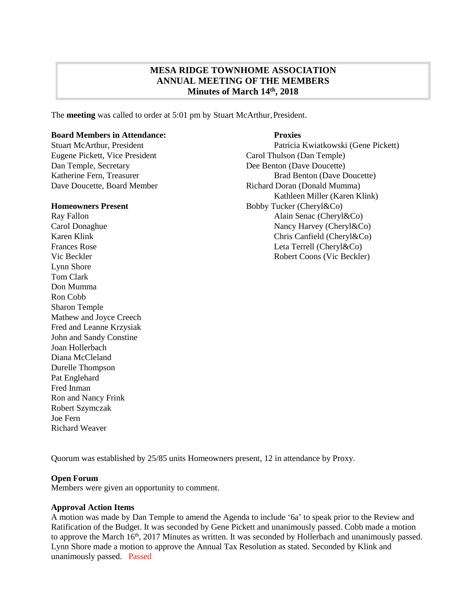# **MESA RIDGE TOWNHOME ASSOCIATION ANNUAL MEETING OF THE MEMBERS Minutes of March 14 th, 2018**

The **meeting** was called to order at 5:01 pm by Stuart McArthur, President.

### **Board Members in Attendance: Proxies**

Eugene Pickett, Vice President Carol Thulson (Dan Temple) Dan Temple, Secretary Dee Benton (Dave Doucette)

Lynn Shore Tom Clark Don Mumma Ron Cobb Sharon Temple Mathew and Joyce Creech Fred and Leanne Krzysiak John and Sandy Constine Joan Hollerbach Diana McCleland Durelle Thompson Pat Englehard Fred Inman Ron and Nancy Frink Robert Szymczak Joe Fern Richard Weaver

Stuart McArthur, President Patricia Kwiatkowski (Gene Pickett) Katherine Fern, Treasurer **Brad Benton (Dave Doucette)** Brad Benton (Dave Doucette) Dave Doucette, Board Member Richard Doran (Donald Mumma) Kathleen Miller (Karen Klink) **Homeowners Present** Bobby Tucker (Cheryl&Co) Ray Fallon **Alain Senac (Cheryl&Co)** Carol Donaghue Nancy Harvey (Cheryl & Co) Karen Klink Chris Canfield (Cheryl&Co) Frances Rose Leta Terrell (Cheryl&Co) Vic Beckler Robert Coons (Vic Beckler)

Quorum was established by 25/85 units Homeowners present, 12 in attendance by Proxy.

#### **Open Forum**

Members were given an opportunity to comment.

#### **Approval Action Items**

A motion was made by Dan Temple to amend the Agenda to include '6a' to speak prior to the Review and Ratification of the Budget. It was seconded by Gene Pickett and unanimously passed. Cobb made a motion to approve the March 16<sup>th</sup>, 2017 Minutes as written. It was seconded by Hollerbach and unanimously passed. Lynn Shore made a motion to approve the Annual Tax Resolution as stated. Seconded by Klink and unanimously passed. Passed